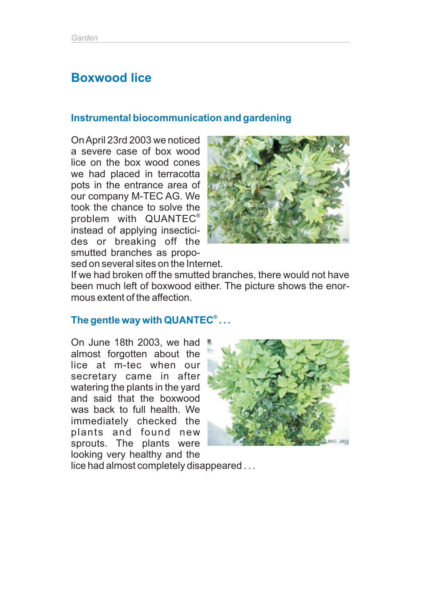# **Boxwood lice**

#### **Instrumental biocommunication and gardening**

OnApril 23rd 2003 we noticed a severe case of box wood lice on the box wood cones we had placed in terracotta pots in the entrance area of our company M-TEC AG. We took the chance to solve the problem with QUANTEC ® instead of applying insecticides or breaking off the smutted branches as proposed on several sites on the Internet.



If we had broken off the smutted branches, there would not have been much left of boxwood either. The picture shows the enormous extent of the affection.

#### **The gentle way with QUANTEC . . . ®**

On June 18th 2003, we had almost forgotten about the lice at m-tec when our secretary came in after watering the plants in the yard and said that the boxwood was back to full health. We immediately checked the plants and found new sprouts. The plants were looking very healthy and the



lice had almost completely disappeared . . .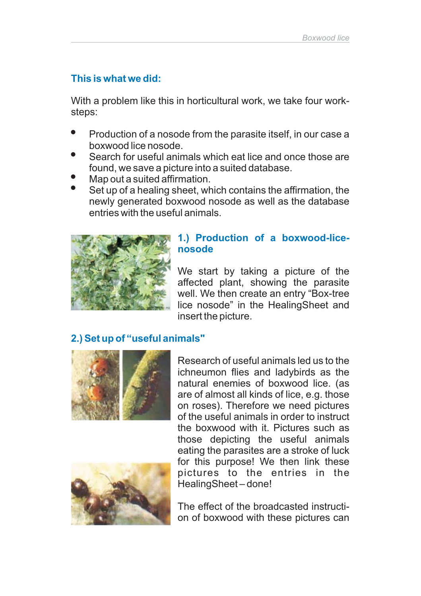## **This is what we did:**

With a problem like this in horticultural work, we take four worksteps:

- --Production of a nosode from the parasite itself, in our case a boxwood lice nosode.
- Search for useful animals which eat lice and once those are found, we save a picture into a suited database.
- -Map out a suited affirmation.
- -Set up of a healing sheet, which contains the affirmation, the newly generated boxwood nosode as well as the database entries with the useful animals.



#### **1.) Production of a boxwood-licenosode**

We start by taking a picture of the affected plant, showing the parasite well. We then create an entry "Box-tree lice nosode" in the HealingSheet and insert the picture.

## **2.) Set up of "useful animals"**



Research of useful animals led us to the ichneumon flies and ladybirds as the natural enemies of boxwood lice. (as are of almost all kinds of lice, e.g. those on roses). Therefore we need pictures of the useful animals in order to instruct the boxwood with it. Pictures such as those depicting the useful animals eating the parasites are a stroke of luck for this purpose! We then link these pictures to the entries in the HealingSheet – done!



The effect of the broadcasted instruction of boxwood with these pictures can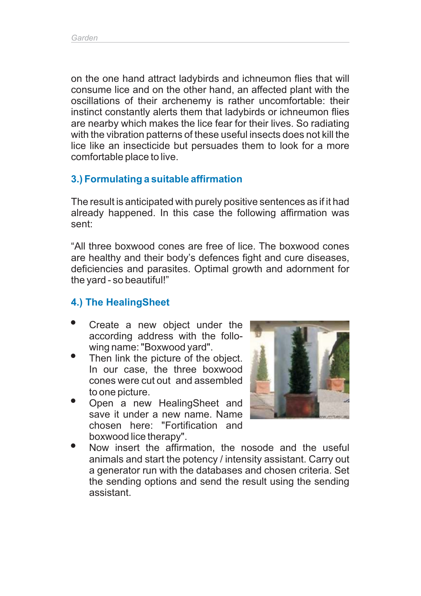on the one hand attract ladybirds and ichneumon flies that will consume lice and on the other hand, an affected plant with the oscillations of their archenemy is rather uncomfortable: their instinct constantly alerts them that ladybirds or ichneumon flies are nearby which makes the lice fear for their lives. So radiating with the vibration patterns of these useful insects does not kill the lice like an insecticide but persuades them to look for a more comfortable place to live.

#### **3.) Formulating a suitable affirmation**

The result is anticipated with purely positive sentences as if it had already happened. In this case the following affirmation was sent:

"All three boxwood cones are free of lice. The boxwood cones are healthy and their body's defences fight and cure diseases, deficiencies and parasites. Optimal growth and adornment for the yard - so beautiful!"

#### **4.) The HealingSheet**

- Create a new object under the according address with the following name: "Boxwood yard". -
- Then link the picture of the object. In our case, the three boxwood cones were cut out and assembled to one picture. --
- Open a new HealingSheet and save it under a new name. Name chosen here: "Fortification and boxwood lice therapy".



Now insert the affirmation, the nosode and the useful animals and start the potency / intensity assistant. Carry out a generator run with the databases and chosen criteria. Set the sending options and send the result using the sending assistant. -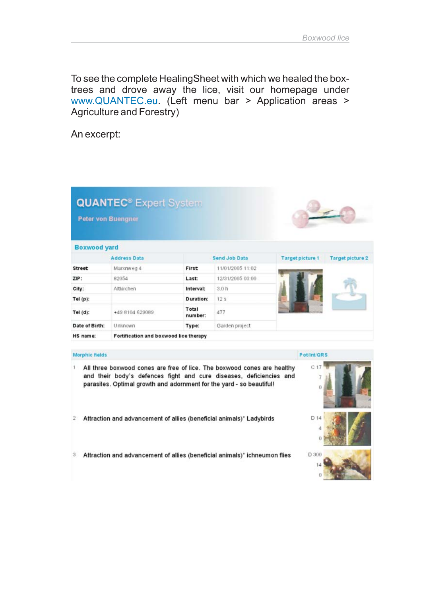To see the complete HealingSheet with which we healed the boxtrees and drove away the lice, visit our homepage under www.QUANTEC.eu. (Left menu bar > Application areas > Agriculture and Forestry)

An excerpt:

| <b>Peter von Buengner</b> | <b>QUANTEC<sup>®</sup></b> Expert System                                                                                                                                                                               |                  |                  |                         |                         |
|---------------------------|------------------------------------------------------------------------------------------------------------------------------------------------------------------------------------------------------------------------|------------------|------------------|-------------------------|-------------------------|
| <b>Boxwood yard</b>       |                                                                                                                                                                                                                        |                  |                  |                         |                         |
| <b>Address Data</b>       |                                                                                                                                                                                                                        | Send Job Data    |                  | <b>Target picture 1</b> | <b>Target picture 2</b> |
| <b>Street</b>             | Marxnweg 4                                                                                                                                                                                                             | First            | 11/01/2005 11:02 |                         |                         |
| ZIP:                      | 82054                                                                                                                                                                                                                  | Last:            | 12/31/2005 00:00 |                         |                         |
| City:                     | Altkirchen                                                                                                                                                                                                             | Interval:        | 3.0h             |                         |                         |
| $Tel(p)$ :                |                                                                                                                                                                                                                        | Duration:        | 12 <sub>s</sub>  |                         |                         |
| Tel $(d)$ :               | +49 8104 629089                                                                                                                                                                                                        | Total<br>number: | 477              |                         |                         |
| Date of Birth:            | Unknown                                                                                                                                                                                                                | Type:            | Garden project   |                         |                         |
| HS name:                  | Fortification and boxwood lice therapy                                                                                                                                                                                 |                  |                  |                         |                         |
| <b>Morphic fields</b>     |                                                                                                                                                                                                                        |                  |                  | Pot/int/ORS             |                         |
| 1                         | All three boxwood cones are free of lice. The boxwood cones are healthy<br>and their body's defences fight and cure diseases, deficiencies and<br>parasites. Optimal growth and adornment for the yard - so beautiful! |                  |                  | C.17<br>7<br>O          |                         |
| 2                         | Attraction and advancement of allies (beneficial animals)" Ladybirds                                                                                                                                                   |                  |                  | D 14                    |                         |
| 3                         | Attraction and advancement of allies (beneficial animals)' ichneumon flies                                                                                                                                             |                  |                  | D 300<br>14             |                         |